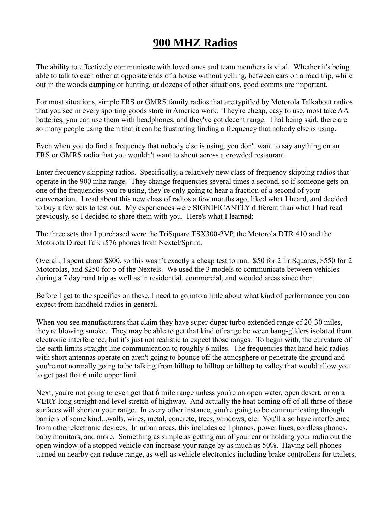## **900 MHZ Radios**

The ability to effectively communicate with loved ones and team members is vital. Whether it's being able to talk to each other at opposite ends of a house without yelling, between cars on a road trip, while out in the woods camping or hunting, or dozens of other situations, good comms are important.

For most situations, simple FRS or GMRS family radios that are typified by Motorola Talkabout radios that you see in every sporting goods store in America work. They're cheap, easy to use, most take AA batteries, you can use them with headphones, and they've got decent range. That being said, there are so many people using them that it can be frustrating finding a frequency that nobody else is using.

Even when you do find a frequency that nobody else is using, you don't want to say anything on an FRS or GMRS radio that you wouldn't want to shout across a crowded restaurant.

Enter frequency skipping radios. Specifically, a relatively new class of frequency skipping radios that operate in the 900 mhz range. They change frequencies several times a second, so if someone gets on one of the frequencies you're using, they're only going to hear a fraction of a second of your conversation. I read about this new class of radios a few months ago, liked what I heard, and decided to buy a few sets to test out. My experiences were SIGNIFICANTLY different than what I had read previously, so I decided to share them with you. Here's what I learned:

The three sets that I purchased were the TriSquare TSX300-2VP, the Motorola DTR 410 and the Motorola Direct Talk i576 phones from Nextel/Sprint.

Overall, I spent about \$800, so this wasn't exactly a cheap test to run. \$50 for 2 TriSquares, \$550 for 2 Motorolas, and \$250 for 5 of the Nextels. We used the 3 models to communicate between vehicles during a 7 day road trip as well as in residential, commercial, and wooded areas since then.

Before I get to the specifics on these, I need to go into a little about what kind of performance you can expect from handheld radios in general.

When you see manufacturers that claim they have super-duper turbo extended range of 20-30 miles, they're blowing smoke. They may be able to get that kind of range between hang-gliders isolated from electronic interference, but it's just not realistic to expect those ranges. To begin with, the curvature of the earth limits straight line communication to roughly 6 miles. The frequencies that hand held radios with short antennas operate on aren't going to bounce off the atmosphere or penetrate the ground and you're not normally going to be talking from hilltop to hilltop or hilltop to valley that would allow you to get past that 6 mile upper limit.

Next, you're not going to even get that 6 mile range unless you're on open water, open desert, or on a VERY long straight and level stretch of highway. And actually the heat coming off of all three of these surfaces will shorten your range. In every other instance, you're going to be communicating through barriers of some kind...walls, wires, metal, concrete, trees, windows, etc. You'll also have interference from other electronic devices. In urban areas, this includes cell phones, power lines, cordless phones, baby monitors, and more. Something as simple as getting out of your car or holding your radio out the open window of a stopped vehicle can increase your range by as much as 50%. Having cell phones turned on nearby can reduce range, as well as vehicle electronics including brake controllers for trailers.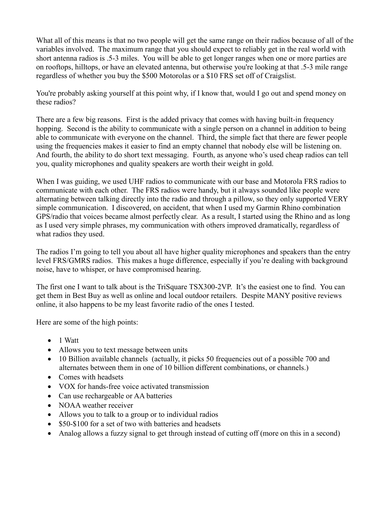What all of this means is that no two people will get the same range on their radios because of all of the variables involved. The maximum range that you should expect to reliably get in the real world with short antenna radios is .5-3 miles. You will be able to get longer ranges when one or more parties are on rooftops, hilltops, or have an elevated antenna, but otherwise you're looking at that .5-3 mile range regardless of whether you buy the \$500 Motorolas or a \$10 FRS set off of Craigslist.

You're probably asking yourself at this point why, if I know that, would I go out and spend money on these radios?

There are a few big reasons. First is the added privacy that comes with having built-in frequency hopping. Second is the ability to communicate with a single person on a channel in addition to being able to communicate with everyone on the channel. Third, the simple fact that there are fewer people using the frequencies makes it easier to find an empty channel that nobody else will be listening on. And fourth, the ability to do short text messaging. Fourth, as anyone who's used cheap radios can tell you, quality microphones and quality speakers are worth their weight in gold.

When I was guiding, we used UHF radios to communicate with our base and Motorola FRS radios to communicate with each other. The FRS radios were handy, but it always sounded like people were alternating between talking directly into the radio and through a pillow, so they only supported VERY simple communication. I discovered, on accident, that when I used my Garmin Rhino combination GPS/radio that voices became almost perfectly clear. As a result, I started using the Rhino and as long as I used very simple phrases, my communication with others improved dramatically, regardless of what radios they used.

The radios I'm going to tell you about all have higher quality microphones and speakers than the entry level FRS/GMRS radios. This makes a huge difference, especially if you're dealing with background noise, have to whisper, or have compromised hearing.

The first one I want to talk about is the TriSquare TSX300-2VP. It's the easiest one to find. You can get them in Best Buy as well as online and local outdoor retailers. Despite MANY positive reviews online, it also happens to be my least favorite radio of the ones I tested.

Here are some of the high points:

- $\bullet$  1 Watt
- Allows you to text message between units
- 10 Billion available channels (actually, it picks 50 frequencies out of a possible 700 and alternates between them in one of 10 billion different combinations, or channels.)
- Comes with headsets
- VOX for hands-free voice activated transmission
- Can use rechargeable or AA batteries
- NOAA weather receiver
- Allows you to talk to a group or to individual radios
- \$50-\$100 for a set of two with batteries and headsets
- Analog allows a fuzzy signal to get through instead of cutting off (more on this in a second)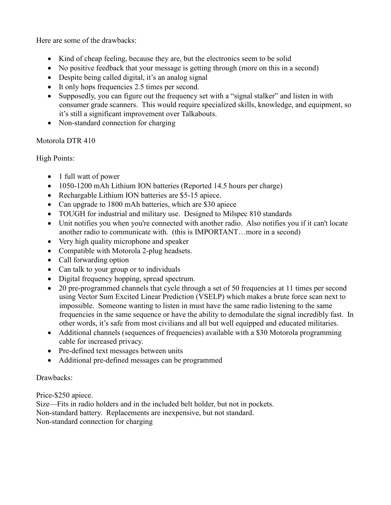Here are some of the drawbacks:

- Kind of cheap feeling, because they are, but the electronics seem to be solid
- No positive feedback that your message is getting through (more on this in a second)
- Despite being called digital, it's an analog signal
- It only hops frequencies 2.5 times per second.
- Supposedly, you can figure out the frequency set with a "signal stalker" and listen in with consumer grade scanners. This would require specialized skills, knowledge, and equipment, so it's still a significant improvement over Talkabouts.
- Non-standard connection for charging

Motorola DTR 410

High Points:

- 1 full watt of power
- 1050-1200 mAh Lithium ION batteries (Reported 14.5 hours per charge)
- Rechargable Lithium ION batteries are \$5-15 apiece.
- Can upgrade to 1800 mAh batteries, which are \$30 apiece
- TOUGH for industrial and military use. Designed to Milspec 810 standards
- Unit notifies you when you're connected with another radio. Also notifies you if it can't locate another radio to communicate with. (this is IMPORTANT…more in a second)
- Very high quality microphone and speaker
- Compatible with Motorola 2-plug headsets.
- Call forwarding option
- Can talk to your group or to individuals
- Digital frequency hopping, spread spectrum.
- 20 pre-programmed channels that cycle through a set of 50 frequencies at 11 times per second using Vector Sum Excited Linear Prediction (VSELP) which makes a brute force scan next to impossible. Someone wanting to listen in must have the same radio listening to the same frequencies in the same sequence or have the ability to demodulate the signal incredibly fast. In other words, it's safe from most civilians and all but well equipped and educated militaries.
- Additional channels (sequences of frequencies) available with a \$30 Motorola programming cable for increased privacy.
- Pre-defined text messages between units
- Additional pre-defined messages can be programmed

Drawbacks:

Price-\$250 apiece.

Size—Fits in radio holders and in the included belt holder, but not in pockets. Non-standard battery. Replacements are inexpensive, but not standard. Non-standard connection for charging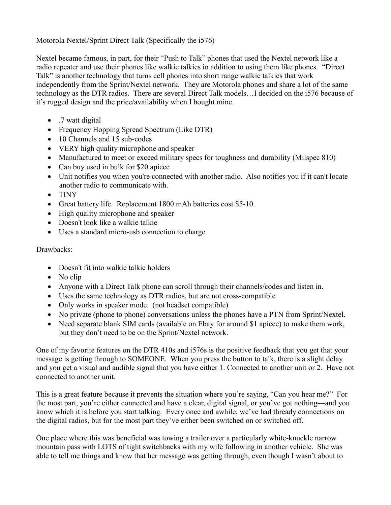Motorola Nextel/Sprint Direct Talk (Specifically the i576)

Nextel became famous, in part, for their "Push to Talk" phones that used the Nextel network like a radio repeater and use their phones like walkie talkies in addition to using them like phones. "Direct Talk" is another technology that turns cell phones into short range walkie talkies that work independently from the Sprint/Nextel network. They are Motorola phones and share a lot of the same technology as the DTR radios. There are several Direct Talk models…I decided on the i576 because of it's rugged design and the price/availability when I bought mine.

- .7 watt digital
- Frequency Hopping Spread Spectrum (Like DTR)
- 10 Channels and 15 sub-codes
- VERY high quality microphone and speaker
- Manufactured to meet or exceed military specs for toughness and durability (Milspec 810)
- Can buy used in bulk for \$20 apiece
- Unit notifies you when you're connected with another radio. Also notifies you if it can't locate another radio to communicate with.
- TINY
- Great battery life. Replacement 1800 mAh batteries cost \$5-10.
- High quality microphone and speaker
- Doesn't look like a walkie talkie
- Uses a standard micro-usb connection to charge

## Drawbacks:

- Doesn't fit into walkie talkie holders
- $\bullet$  No clip
- Anyone with a Direct Talk phone can scroll through their channels/codes and listen in.
- Uses the same technology as DTR radios, but are not cross-compatible
- Only works in speaker mode. (not headset compatible)
- No private (phone to phone) conversations unless the phones have a PTN from Sprint/Nextel.
- Need separate blank SIM cards (available on Ebay for around \$1 apiece) to make them work, but they don't need to be on the Sprint/Nextel network.

One of my favorite features on the DTR 410s and i576s is the positive feedback that you get that your message is getting through to SOMEONE. When you press the button to talk, there is a slight delay and you get a visual and audible signal that you have either 1. Connected to another unit or 2. Have not connected to another unit.

This is a great feature because it prevents the situation where you're saying, "Can you hear me?" For the most part, you're either connected and have a clear, digital signal, or you've got nothing—and you know which it is before you start talking. Every once and awhile, we've had thready connections on the digital radios, but for the most part they've either been switched on or switched off.

One place where this was beneficial was towing a trailer over a particularly white-knuckle narrow mountain pass with LOTS of tight switchbacks with my wife following in another vehicle. She was able to tell me things and know that her message was getting through, even though I wasn't about to